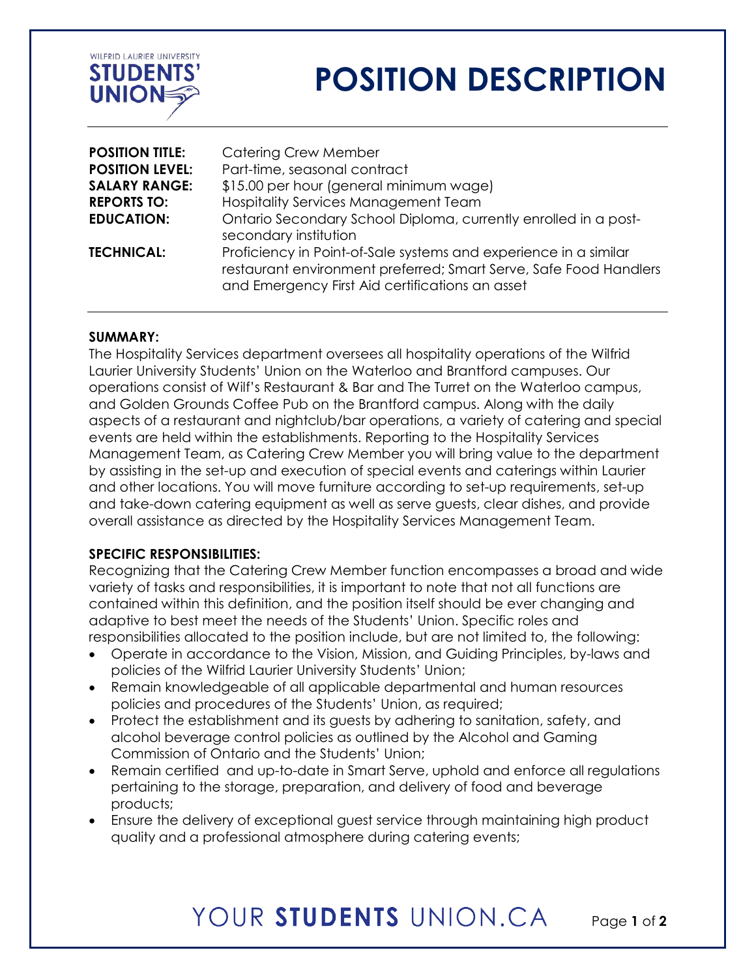

# **POSITION DESCRIPTION**

| <b>POSITION TITLE:</b> | <b>Catering Crew Member</b>                                                                                                                                                              |
|------------------------|------------------------------------------------------------------------------------------------------------------------------------------------------------------------------------------|
| <b>POSITION LEVEL:</b> | Part-time, seasonal contract                                                                                                                                                             |
| <b>SALARY RANGE:</b>   | \$15.00 per hour (general minimum wage)                                                                                                                                                  |
| <b>REPORTS TO:</b>     | Hospitality Services Management Team                                                                                                                                                     |
| <b>EDUCATION:</b>      | Ontario Secondary School Diploma, currently enrolled in a post-<br>secondary institution                                                                                                 |
| <b>TECHNICAL:</b>      | Proficiency in Point-of-Sale systems and experience in a similar<br>restaurant environment preferred; Smart Serve, Safe Food Handlers<br>and Emergency First Aid certifications an asset |

#### **SUMMARY:**

The Hospitality Services department oversees all hospitality operations of the Wilfrid Laurier University Students' Union on the Waterloo and Brantford campuses. Our operations consist of Wilf's Restaurant & Bar and The Turret on the Waterloo campus, and Golden Grounds Coffee Pub on the Brantford campus. Along with the daily aspects of a restaurant and nightclub/bar operations, a variety of catering and special events are held within the establishments. Reporting to the Hospitality Services Management Team, as Catering Crew Member you will bring value to the department by assisting in the set-up and execution of special events and caterings within Laurier and other locations. You will move furniture according to set-up requirements, set-up and take-down catering equipment as well as serve guests, clear dishes, and provide overall assistance as directed by the Hospitality Services Management Team.

### **SPECIFIC RESPONSIBILITIES:**

Recognizing that the Catering Crew Member function encompasses a broad and wide variety of tasks and responsibilities, it is important to note that not all functions are contained within this definition, and the position itself should be ever changing and adaptive to best meet the needs of the Students' Union. Specific roles and responsibilities allocated to the position include, but are not limited to, the following:

- Operate in accordance to the Vision, Mission, and Guiding Principles, by-laws and policies of the Wilfrid Laurier University Students' Union;
- Remain knowledgeable of all applicable departmental and human resources policies and procedures of the Students' Union, as required;
- Protect the establishment and its guests by adhering to sanitation, safety, and alcohol beverage control policies as outlined by the Alcohol and Gaming Commission of Ontario and the Students' Union;
- Remain certified and up-to-date in Smart Serve, uphold and enforce all regulations pertaining to the storage, preparation, and delivery of food and beverage products;
- Ensure the delivery of exceptional guest service through maintaining high product quality and a professional atmosphere during catering events;

### YOUR STUDENTS UNION CA